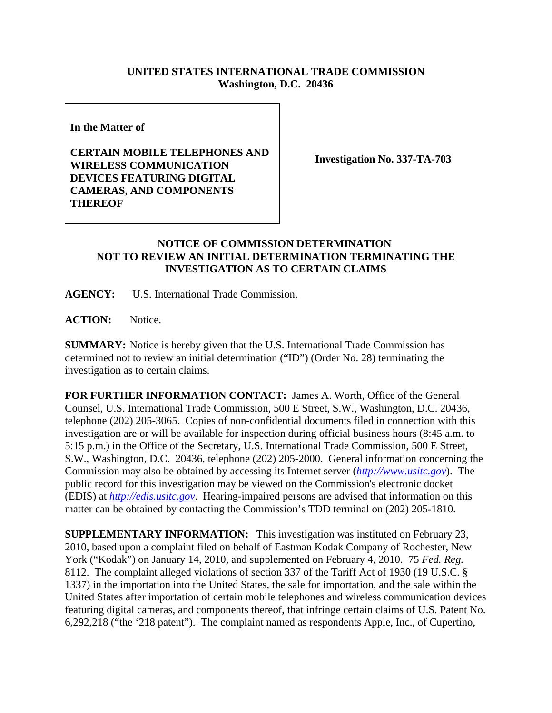## **UNITED STATES INTERNATIONAL TRADE COMMISSION Washington, D.C. 20436**

**In the Matter of** 

## **CERTAIN MOBILE TELEPHONES AND WIRELESS COMMUNICATION DEVICES FEATURING DIGITAL CAMERAS, AND COMPONENTS THEREOF**

**Investigation No. 337-TA-703**

## **NOTICE OF COMMISSION DETERMINATION NOT TO REVIEW AN INITIAL DETERMINATION TERMINATING THE INVESTIGATION AS TO CERTAIN CLAIMS**

**AGENCY:** U.S. International Trade Commission.

**ACTION:** Notice.

**SUMMARY:** Notice is hereby given that the U.S. International Trade Commission has determined not to review an initial determination ("ID") (Order No. 28) terminating the investigation as to certain claims.

**FOR FURTHER INFORMATION CONTACT:** James A. Worth, Office of the General Counsel, U.S. International Trade Commission, 500 E Street, S.W., Washington, D.C. 20436, telephone (202) 205-3065. Copies of non-confidential documents filed in connection with this investigation are or will be available for inspection during official business hours (8:45 a.m. to 5:15 p.m.) in the Office of the Secretary, U.S. International Trade Commission, 500 E Street, S.W., Washington, D.C. 20436, telephone (202) 205-2000. General information concerning the Commission may also be obtained by accessing its Internet server (*http://www.usitc.gov*). The public record for this investigation may be viewed on the Commission's electronic docket (EDIS) at *http://edis.usitc.gov*. Hearing-impaired persons are advised that information on this matter can be obtained by contacting the Commission's TDD terminal on (202) 205-1810.

**SUPPLEMENTARY INFORMATION:** This investigation was instituted on February 23, 2010, based upon a complaint filed on behalf of Eastman Kodak Company of Rochester, New York ("Kodak") on January 14, 2010, and supplemented on February 4, 2010. 75 *Fed. Reg.* 8112. The complaint alleged violations of section 337 of the Tariff Act of 1930 (19 U.S.C. § 1337) in the importation into the United States, the sale for importation, and the sale within the United States after importation of certain mobile telephones and wireless communication devices featuring digital cameras, and components thereof, that infringe certain claims of U.S. Patent No. 6,292,218 ("the '218 patent"). The complaint named as respondents Apple, Inc., of Cupertino,